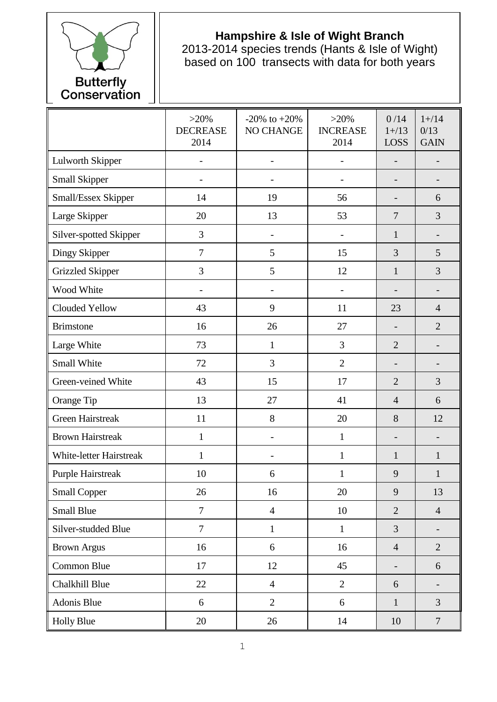

## **Hampshire & Isle of Wight Branch**

2013-2014 species trends (Hants & Isle of Wight) based on 100 transects with data for both years

|                                | $>20\%$<br><b>DECREASE</b><br>2014 | $-20\%$ to $+20\%$<br>NO CHANGE | $>20\%$<br><b>INCREASE</b><br>2014 | 0/14<br>$1 + / 13$<br><b>LOSS</b> | $1 + / 14$<br>0/13<br><b>GAIN</b> |
|--------------------------------|------------------------------------|---------------------------------|------------------------------------|-----------------------------------|-----------------------------------|
| Lulworth Skipper               |                                    | $\overline{\phantom{a}}$        |                                    |                                   |                                   |
| <b>Small Skipper</b>           |                                    |                                 |                                    | $\qquad \qquad \blacksquare$      |                                   |
| Small/Essex Skipper            | 14                                 | 19                              | 56                                 |                                   | 6                                 |
| Large Skipper                  | 20                                 | 13                              | 53                                 | $\overline{7}$                    | 3                                 |
| Silver-spotted Skipper         | 3                                  | $\overline{\phantom{a}}$        | $\overline{\phantom{0}}$           | $\mathbf{1}$                      |                                   |
| Dingy Skipper                  | $\overline{7}$                     | 5                               | 15                                 | 3                                 | 5                                 |
| <b>Grizzled Skipper</b>        | 3                                  | 5                               | 12                                 | $\mathbf{1}$                      | 3                                 |
| Wood White                     |                                    |                                 |                                    |                                   |                                   |
| Clouded Yellow                 | 43                                 | 9                               | 11                                 | 23                                | $\overline{4}$                    |
| <b>Brimstone</b>               | 16                                 | 26                              | 27                                 | $\overline{\phantom{0}}$          | $\overline{2}$                    |
| Large White                    | 73                                 | $\mathbf{1}$                    | 3                                  | $\overline{2}$                    | $\overline{\phantom{0}}$          |
| Small White                    | 72                                 | 3                               | $\overline{2}$                     |                                   |                                   |
| Green-veined White             | 43                                 | 15                              | 17                                 | $\overline{2}$                    | 3                                 |
| Orange Tip                     | 13                                 | 27                              | 41                                 | $\overline{4}$                    | 6                                 |
| <b>Green Hairstreak</b>        | 11                                 | 8                               | 20                                 | 8                                 | 12                                |
| <b>Brown Hairstreak</b>        | $\mathbf{1}$                       |                                 | $\mathbf{1}$                       | $\overline{\phantom{0}}$          |                                   |
| <b>White-letter Hairstreak</b> | $\mathbf{1}$                       | $\overline{\phantom{a}}$        | $\mathbf{1}$                       | $\mathbf{1}$                      | $\mathbf{1}$                      |
| <b>Purple Hairstreak</b>       | 10                                 | 6                               | $\mathbf{1}$                       | 9                                 | $\mathbf{1}$                      |
| <b>Small Copper</b>            | 26                                 | 16                              | 20                                 | 9                                 | 13                                |
| <b>Small Blue</b>              | $\overline{7}$                     | $\overline{4}$                  | 10                                 | $\overline{2}$                    | $\overline{4}$                    |
| Silver-studded Blue            | $\overline{7}$                     | $\mathbf{1}$                    | $\mathbf{1}$                       | $\overline{3}$                    |                                   |
| <b>Brown Argus</b>             | 16                                 | 6                               | 16                                 | $\overline{4}$                    | $\overline{2}$                    |
| Common Blue                    | 17                                 | 12                              | 45                                 | $\overline{\phantom{0}}$          | 6                                 |
| Chalkhill Blue                 | 22                                 | $\overline{4}$                  | $\overline{2}$                     | 6                                 | $\qquad \qquad \blacksquare$      |
| Adonis Blue                    | 6                                  | $\overline{2}$                  | 6                                  | $\mathbf{1}$                      | $\overline{3}$                    |
| <b>Holly Blue</b>              | 20                                 | 26                              | 14                                 | 10                                | $\overline{7}$                    |